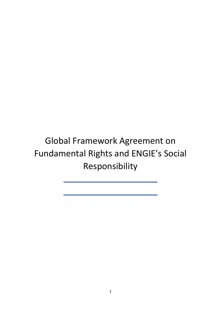Global Framework Agreement on Fundamental Rights and ENGIE's Social Responsibility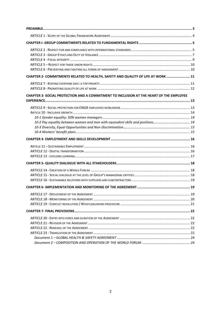| CHAPTER 2- COMMITMENTS RELATED TO HEALTH, SAFETY AND QUALITY OF LIFE AT WORK  11        |  |
|-----------------------------------------------------------------------------------------|--|
|                                                                                         |  |
| CHAPTER 3- SOCIAL PROTECTION AND A COMMITMENT TO INCLUSION AT THE HEART OF THE EMPLOYEE |  |
| 10-2 Pay equality between women and men with equivalent skills and positions 14         |  |
|                                                                                         |  |
|                                                                                         |  |
|                                                                                         |  |
|                                                                                         |  |
|                                                                                         |  |
|                                                                                         |  |
|                                                                                         |  |
|                                                                                         |  |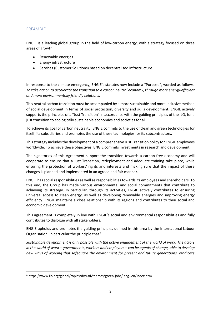### PREAMBLE

ENGIE is a leading global group in the field of low-carbon energy, with a strategy focused on three areas of growth:

- Renewable energies
- Energy infrastructure
- Services (Customer Solutions) based on decentralised infrastructure.

In response to the climate emergency, ENGIE's statutes now include a "Purpose", worded as follows: *To take action to accelerate the transition to a carbon neutral economy, through more energy-efficient and more environmentally friendly solutions.* 

This neutral carbon transition must be accompanied by a more sustainable and more inclusive method of social development in terms of social protection, diversity and skills development. ENGIE actively supports the principles of a "Just Transition" in accordance with the guiding principles of the ILO, for a just transition to ecologically sustainable economies and societies for all.

To achieve its goal of carbon neutrality, ENGIE commits to the use of clean and green technologies for itself, its subsidiaries and promotes the use of these technologies for its subcontractors.

This strategy includes the development of a comprehensive Just Transition policy for ENGIE employees worldwide. To achieve these objectives, ENGIE commits investments in research and development.

The signatories of this Agreement support the transition towards a carbon-free economy and will cooperate to ensure that a Just Transition, redeployment and adequate training take place, while ensuring the protection of workers' rights and interests and making sure that the impact of these changes is planned and implemented in an agreed and fair manner.

ENGIE has social responsibilities as well as responsibilities towards its employees and shareholders. To this end, the Group has made various environmental and social commitments that contribute to achieving its strategy. In particular, through its activities, ENGIE actively contributes to ensuring universal access to clean energy, as well as developing renewable energies and improving energy efficiency. ENGIE maintains a close relationship with its regions and contributes to their social and economic development.

This agreement is completely in line with ENGIE's social and environmental responsibilities and fully contributes to dialogue with all stakeholders.

ENGIE upholds and promotes the guiding principles defined in this area by the International Labour Organisation, in particular the principle that  $1$ :

*Sustainable development is only possible with the active engagement of the world of work. The actors in the world of work – governments, workers and employers – can be agents of change, able to develop new ways of working that safeguard the environment for present and future generations, eradicate* 

<sup>&</sup>lt;sup>1</sup> https://www.ilo.org/global/topics/dw4sd/themes/green-jobs/lang--en/index.htm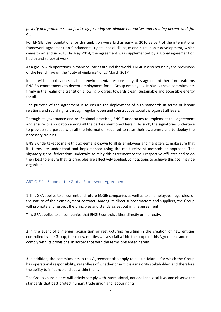*poverty and promote social justice by fostering sustainable enterprises and creating decent work for all.*

For ENGIE, the foundations for this ambition were laid as early as 2010 as part of the international framework agreement on fundamental rights, social dialogue and sustainable development, which came to an end in 2016. In May 2014, the agreement was supplemented by a global agreement on health and safety at work.

As a group with operations in many countries around the world, ENGIE is also bound by the provisions of the French law on the "duty of vigilance" of 27 March 2017.

In line with its policy on social and environmental responsibility, this agreement therefore reaffirms ENGIE's commitments to decent employment for all Group employees. It places these commitments firmly in the realm of a transition allowing progress towards clean, sustainable and accessible energy for all.

The purpose of the agreement is to ensure the deployment of high standards in terms of labour relations and social rights through regular, open and constructive social dialogue at all levels.

Through its governance and professional practices, ENGIE undertakes to implement this agreement and ensure its application among all the parties mentioned herein. As such, the signatories undertake to provide said parties with all the information required to raise their awareness and to deploy the necessary training.

ENGIE undertakes to make this agreement known to all its employees and managers to make sure that its terms are understood and implemented using the most relevant methods or approach. The signatory global federations undertake to relay this agreement to their respective affiliates and to do their best to ensure that its principles are effectively applied. Joint actions to achieve this goal may be organized.

## ARTICLE 1 - Scope of the Global Framework Agreement

1.This GFA applies to all current and future ENGIE companies as well as to all employees, regardless of the nature of their employment contract. Among its direct subcontractors and suppliers, the Group will promote and respect the principles and standards set out in this agreement.

This GFA applies to all companies that ENGIE controls either directly or indirectly.

2.In the event of a merger, acquisition or restructuring resulting in the creation of new entities controlled by the Group, these new entities will also fall within the scope of this Agreement and must comply with its provisions, in accordance with the terms presented herein.

3.In addition, the commitments in this Agreement also apply to all subsidiaries for which the Group has operational responsibility, regardless of whether or not it is a majority stakeholder, and therefore the ability to influence and act within them.

The Group's subsidiaries will strictly comply with international, national and local laws and observe the standards that best protect human, trade union and labour rights.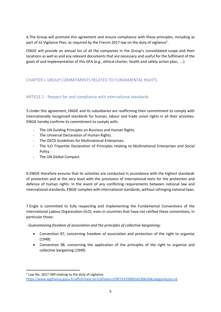4.The Group will promote this agreement and ensure compliance with these principles, including as part of its Vigilance Plan, as required by the French 2017 law on the duty of vigilance<sup>2</sup>.

ENGIE will provide an annual list of all the companies in the Group's consolidated scope and their locations as well as and any relevant documents that are necessary and useful for the fulfilment of the goals of and implementation of this GFA (e.g., ethical charter, health and safety action plan, ....).

## CHAPTER I- GROUP COMMITMENTS RELATED TO FUNDAMENTAL RIGHTS

## ARTICLE 2 - Respect for and compliance with international standards

5.Under this agreement, ENGIE and its subsidiaries are reaffirming their commitment to comply with internationally recognised standards for human, labour and trade union rights in all their activities. ENGIE hereby confirms its commitment to comply with:

- The UN Guiding Principles on Business and Human Rights.
- The Universal Declaration of Human Rights.
- The OECD Guidelines for Multinational Enterprises.
- The ILO Tripartite Declaration of Principles relating to Multinational Enterprises and Social Policy.
- The UN Global Compact.

6.ENGIE therefore ensures that its activities are conducted in accordance with the highest standards of protection and at the very least with the provisions of international texts for the protection and defence of human rights. In the event of any conflicting requirements between national law and international standards, ENGIE complies with international standards, without infringing national laws.

7.Engie is committed to fully respecting and implementing the Fundamental Conventions of the International Labour Organisation (ILO), even in countries that have not ratified these conventions, in particular those:

*- Guaranteeing freedom of association and the principles of collective bargaining:*

- Convention 87, concerning freedom of association and protection of the right to organise (1948)
- Convention 98, concerning the application of the principles of the right to organise and collective bargaining (1949)

<sup>&</sup>lt;sup>2</sup> Law No. 2017-399 relating to the duty of vigilance

<https://www.legifrance.gouv.fr/affichTexte.do?cidTexte=JORFTEXT000034290626&categorieLien=id>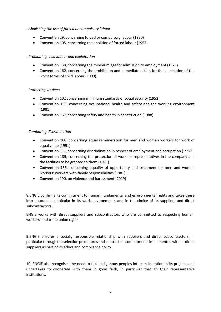- *Abolishing the use of forced or compulsory labour*
	- Convention 29, concerning forced or compulsory labour (1930)
	- Convention 105, concerning the abolition of forced labour (1957)

## - *Prohibiting child labour and exploitation*

- Convention 138, concerning the minimum age for admission to employment (1973)
- Convention 182, concerning the prohibition and immediate action for the elimination of the worst forms of child labour (1999)

## - *Protecting workers*

- Convention 102 concerning minimum standards of social security (1952)
- Convention 155, concerning occupational health and safety and the working environment (1981)
- Convention 167, concerning safety and health in construction (1988)

## - *Combating discrimination*

- Convention 100, concerning equal remuneration for men and women workers for work of equal value (1951)
- Convention 111, concerning discrimination in respect of employment and occupation (1958)
- Convention 135, concerning the protection of workers' representatives in the company and the facilities to be granted to them (1971)
- Convention 156, concerning equality of opportunity and treatment for men and women workers: workers with family responsibilities (1981)
- Convention 190, on violence and harassment (2019)

8.ENGIE confirms its commitment to human, fundamental and environmental rights and takes these into account in particular in its work environments and in the choice of its suppliers and direct subcontractors.

ENGIE works with direct suppliers and subcontractors who are committed to respecting human, workers' and trade union rights.

9.ENGIE ensures a socially responsible relationship with suppliers and direct subcontractors, in particular through the selection procedures and contractual commitments implemented with its direct suppliers as part of its ethics and compliance policy.

10. ENGIE also recognises the need to take indigenous peoples into consideration in its projects and undertakes to cooperate with them in good faith, in particular through their representative institutions.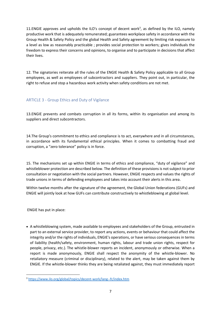11. ENGIE approves and upholds the ILO's concept of decent work<sup>3</sup>, as defined by the ILO, namely productive work that is adequately remunerated; guarantees workplace safety in accordance with the Group Health & Safety Policy and the global Health and Safety agreement by limiting risk exposure to a level as low as reasonably practicable ; provides social protection to workers; gives individuals the freedom to express their concerns and opinions, to organise and to participate in decisions that affect their lives.

12. The signatories reiterate all the rules of the ENGIE Health & Safety Policy applicable to all Group employees, as well as employees of subcontractors and suppliers. They point out, in particular, the right to refuse and stop a hazardous work activity when safety conditions are not met.

# ARTICLE 3 - Group Ethics and Duty of Vigilance

13.ENGIE prevents and combats corruption in all its forms, within its organisation and among its suppliers and direct subcontractors.

14.The Group's commitment to ethics and compliance is to act, everywhere and in all circumstances, in accordance with its fundamental ethical principles. When it comes to combatting fraud and corruption, a "zero tolerance" policy is in force.

15. The mechanisms set up within ENGIE in terms of ethics and compliance, "duty of vigilance" and whistleblower protection are described below. The definition of these provisions is not subject to prior consultation or negotiation with the social partners. However, ENGIE respects and values the rights of trade unions in terms of defending employees and takes into account their alerts in this area.

Within twelve months after the signature of the agreement, the Global Union federations (GUFs) and ENGIE will jointly look at how GUFs can contribute constructively to whistleblowing at global level.

ENGIE has put in place:

• A whistleblowing system, made available to employees and stakeholders of the Group, entrusted in part to an external service provider, to report any actions, events or behaviour that could affect the integrity and/or the rights of individuals, ENGIE's operations, or have serious consequences in terms of liability (health/safety, environment, human rights, labour and trade union rights, respect for people, privacy, etc.). The whistle-blower reports an incident, anonymously or otherwise. When a report is made anonymously, ENGIE shall respect the anonymity of the whistle-blower. No retaliatory measure (criminal or disciplinary), related to the alert, may be taken against them by ENGIE. If the whistle-blower thinks they are being retaliated against, they must immediately report

<sup>3</sup> <https://www.ilo.org/global/topics/decent-work/lang--fr/index.htm>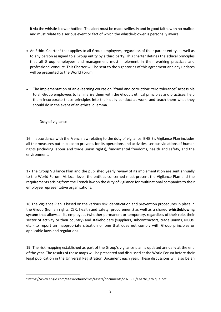it via the whistle-blower hotline. The alert must be made selflessly and in good faith, with no malice, and must relate to a serious event or fact of which the whistle-blower is personally aware.

- An Ethics Charter<sup>4</sup> that applies to all Group employees, regardless of their parent entity, as well as to any person assigned to a Group entity by a third party. This charter defines the ethical principles that all Group employees and management must implement in their working practices and professional conduct. This Charter will be sent to the signatories of this agreement and any updates will be presented to the World Forum.
- The implementation of an e-learning course on "fraud and corruption: zero tolerance" accessible to all Group employees to familiarise them with the Group's ethical principles and practices, help them incorporate these principles into their daily conduct at work, and teach them what they should do in the event of an ethical dilemma.
	- Duty of vigilance

16.In accordance with the French law relating to the duty of vigilance, ENGIE's Vigilance Plan includes all the measures put in place to prevent, for its operations and activities, serious violations of human rights (including labour and trade union rights), fundamental freedoms, health and safety, and the environment.

17.The Group Vigilance Plan and the published yearly review of its implementation are sent annually to the World Forum. At local level, the entities concerned must present the Vigilance Plan and the requirements arising from the French law on the duty of vigilance for multinational companies to their employee representative organisations.

18.The Vigilance Plan is based on the various risk identification and prevention procedures in place in the Group (human rights, CSR, health and safety, procurement) as well as a shared **whistleblowing system** that allows all its employees (whether permanent or temporary, regardless of their role, their sector of activity or their country) and stakeholders (suppliers, subcontractors, trade unions, NGOs, etc.) to report an inappropriate situation or one that does not comply with Group principles or applicable laws and regulations.

19. The risk mapping established as part of the Group's vigilance plan is updated annually at the end of the year. The results of these maps will be presented and discussed at the World Forum before their legal publication in the Universal Registration Document each year. These discussions will also be an

<sup>4</sup> https://www.engie.com/sites/default/files/assets/documents/2020-05/Charte\_ethique.pdf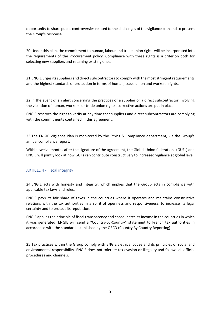opportunity to share public controversies related to the challenges of the vigilance plan and to present the Group's response.

20.Under this plan, the commitment to human, labour and trade union rights will be incorporated into the requirements of the Procurement policy. Compliance with these rights is a criterion both for selecting new suppliers and retaining existing ones.

21.ENGIE urgesits suppliers and direct subcontractors to comply with the most stringent requirements and the highest standards of protection in terms of human, trade union and workers' rights.

22.In the event of an alert concerning the practices of a supplier or a direct subcontractor involving the violation of human, workers' or trade union rights, corrective actions are put in place.

ENGIE reserves the right to verify at any time that suppliers and direct subcontractors are complying with the commitments contained in this agreement.

23.The ENGIE Vigilance Plan is monitored by the Ethics & Compliance department, via the Group's annual compliance report.

Within twelve months after the signature of the agreement, the Global Union federations (GUFs) and ENGIE will jointly look at how GUFs can contribute constructively to increased vigilance at global level.

## ARTICLE 4 - Fiscal integrity

24.ENGIE acts with honesty and integrity, which implies that the Group acts in compliance with applicable tax laws and rules.

ENGIE pays its fair share of taxes in the countries where it operates and maintains constructive relations with the tax authorities in a spirit of openness and responsiveness, to increase its legal certainty and to protect its reputation.

ENGIE applies the principle of fiscal transparency and consolidates its income in the countries in which it was generated. ENGIE will send a "Country-by-Country" statement to French tax authorities in accordance with the standard established by the OECD (Country By Country Reporting)

25.Tax practices within the Group comply with ENGIE's ethical codes and its principles of social and environmental responsibility. ENGIE does not tolerate tax evasion or illegality and follows all official procedures and channels.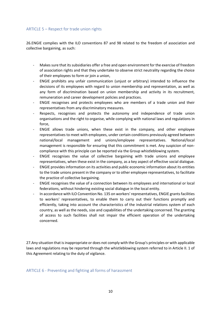## ARTICLE 5 – Respect for trade union rights

26.ENGIE complies with the ILO conventions 87 and 98 related to the freedom of association and collective bargaining, as such:

- Makes sure that its subsidiaries offer a free and open environment for the exercise of freedom of association rights and that they undertake to observe strict neutrality regarding the choice of their employees to form or join a union,
- ENGIE prohibits any unfair communication (unjust or arbitrary) intended to influence the decisions of its employees with regard to union membership and representation, as well as any form of discrimination based on union membership and activity in its recruitment, remuneration and career development policies and practices.
- ENGIE recognises and protects employees who are members of a trade union and their representatives from any discriminatory measures.
- Respects, recognises and protects the autonomy and independence of trade union organisations and the right to organise, while complying with national laws and regulations in force,
- ENGIE allows trade unions, when these exist in the company, and other employee representatives to meet with employees, under certain conditions previously agreed between national/local management and unions/employee representatives. National/local management is responsible for ensuring that this commitment is met. Any suspicion of noncompliance with this principle can be reported via the Group whistleblowing system.
- ENGIE recognises the value of collective bargaining with trade unions and employee representatives, when these exist in the company, as a key aspect of effective social dialogue.
- ENGIE provides information on its activities and public economic information about its entities to the trade unions present in the company or to other employee representatives, to facilitate the practice of collective bargaining.
- ENGIE recognises the value of a connection between its employees and international or local federations, without hindering existing social dialogue in the local entity.
- In accordance with ILO Convention No. 135 on workers' representatives, ENGIE grants facilities to workers' representatives, to enable them to carry out their functions promptly and efficiently, taking into account the characteristics of the industrial relations system of each country, as well as the needs, size and capabilities of the undertaking concerned. The granting of access to such facilities shall not impair the efficient operation of the undertaking concerned.

27.Any situation that is inappropriate or does not comply with the Group's principles or with applicable laws and regulations may be reported through the whistleblowing system referred to in Article II. 1 of this Agreement relating to the duty of vigilance.

ARTICLE 6 - Preventing and fighting all forms of harassment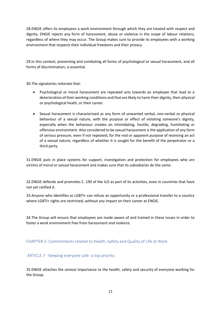28.ENGIE offers its employees a work environment through which they are treated with respect and dignity. ENGIE rejects any form of harassment, abuse or violence in the scope of labour relations, regardless of where they may occur. The Group makes sure to provide its employees with a working environment that respects their individual freedoms and their privacy.

29.In this context, preventing and combating all forms of psychological or sexual harassment, and all forms of discrimination, is essential.

30.The signatories reiterate that:

- Psychological or moral harassment are repeated acts towards an employee that lead to a deterioration of their working conditions and that are likely to harm their dignity, their physical or psychological heath, or their career.
- Sexual harassment is characterised as any form of unwanted verbal, non-verbal or physical behaviour of a sexual nature, with the purpose or effect of violating someone's dignity, especially when the behaviour creates an intimidating, hostile, degrading, humiliating or offensive environment. Also considered to be sexual harassment is the application of any form of serious pressure, even if not repeated, for the real or apparent purpose of receiving an act of a sexual nature, regardless of whether it is sought for the benefit of the perpetrator or a third party.

31.ENGIE puts in place systems for support, investigation and protection for employees who are victims of moral or sexual harassment and makes sure that its subsidiaries do the same.

32.ENGIE defends and promotes C. 190 of the ILO as part of its activities, even in countries that have not yet ratified it.

33.Anyone who identifies as LGBTI+ can refuse an opportunity or a professional transfer to a country where LGBTI+ rights are restricted, without any impact on their career at ENGIE.

34.The Group will ensure that employees are made aware of and trained in these issues in order to foster a work environment free from harassment and violence.

CHAPTER 2- Commitments related to Health, Safety and Quality of Life at Work

ARTICLE 7 - Keeping everyone safe: a top priority.

35.ENGIE attaches the utmost importance to the health, safety and security of everyone working for the Group.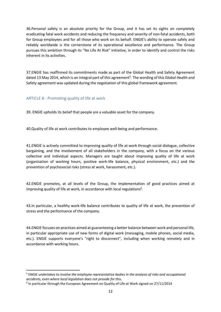36.Personal safety is an absolute priority for the Group, and it has set its sights on completely eradicating fatal work accidents and reducing the frequency and severity of non-fatal accidents, both for Group employees and for all those who work on its behalf. ENGIE's ability to operate safely and reliably worldwide is the cornerstone of its operational excellence and performance. The Group pursues this ambition through its "No Life At Risk" initiative, in order to identify and control the risks inherent in its activities.

37.ENGIE has reaffirmed its commitments made as part of the Global Health and Safety Agreement dated 13 May 2014, which is an integral part of this agreement<sup>5</sup>. The wording of this Global Health and Safety agreement was updated during the negotiation of this global framework agreement.

## ARTICLE 8 - Promoting quality of life at work

39. ENGIE upholds its belief that people are a valuable asset for the company.

40.Quality of life at work contributes to employee well-being and performance.

41.ENGIE is actively committed to improving quality of life at work through social dialogue, collective bargaining, and the involvement of all stakeholders in the company, with a focus on the various collective and individual aspects. Managers are taught about improving quality of life at work (organisation of working hours, positive work-life balance, physical environment, etc.) and the prevention of psychosocial risks (stress at work, harassment, etc.).

42.ENGIE promotes, at all levels of the Group, the implementation of good practices aimed at improving quality of life at work, in accordance with local regulations<sup>6</sup>.

43.In particular, a healthy work-life balance contributes to quality of life at work, the prevention of stress and the performance of the company.

44.ENGIE focuses on practices aimed at guaranteeing a better balance between work and personal life, in particular appropriate use of new forms of digital work (messaging, mobile phones, social media, etc.). ENGIE supports everyone's "right to disconnect", including when working remotely and in accordance with working hours.

<sup>5</sup> ENGIE *undertakes to involve the employee representative bodies in the analysis of risks and occupational accidents, even where local legislation does not provide for this*.

<sup>&</sup>lt;sup>6</sup> In particular through the European Agreement on Quality of Life at Work signed on 27/11/2014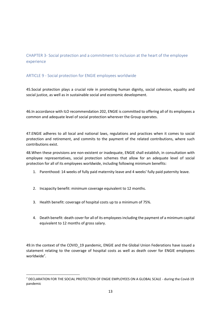# CHAPTER 3- Social protection and a commitment to inclusion at the heart of the employee experience

# ARTICLE 9 - Social protection for ENGIE employees worldwide

45.Social protection plays a crucial role in promoting human dignity, social cohesion, equality and social justice, as well as in sustainable social and economic development.

46.In accordance with ILO recommendation 202, ENGIE is committed to offering all of its employees a common and adequate level of social protection wherever the Group operates.

47.ENGIE adheres to all local and national laws, regulations and practices when it comes to social protection and retirement, and commits to the payment of the related contributions, where such contributions exist.

48.When these provisions are non-existent or inadequate, ENGIE shall establish, in consultation with employee representatives, social protection schemes that allow for an adequate level of social protection for all of its employees worldwide, including following minimum benefits:

- 1. Parenthood: 14 weeks of fully paid maternity leave and 4 weeks' fully paid paternity leave.
- 2. Incapacity benefit: minimum coverage equivalent to 12 months.
- 3. Health benefit: coverage of hospital costs up to a minimum of 75%.
- 4. Death benefit: death cover for all of its employees including the payment of a minimum capital equivalent to 12 months of gross salary.

49. In the context of the COVID 19 pandemic, ENGIE and the Global Union Federations have issued a statement relating to the coverage of hospital costs as well as death cover for ENGIE employees worldwide<sup>7</sup>.

<sup>&</sup>lt;sup>7</sup> DECLARATION FOR THE SOCIAL PROTECTION OF ENGIE EMPLOYEES ON A GLOBAL SCALE - during the Covid-19 pandemic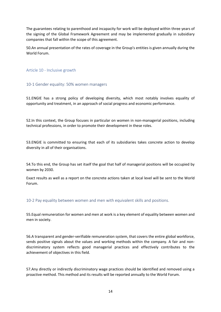The guarantees relating to parenthood and incapacity for work will be deployed within three years of the signing of the Global Framework Agreement and may be implemented gradually in subsidiary companies that fall within the scope of this agreement.

50.An annual presentation of the rates of coverage in the Group's entities is given annually during the World Forum.

Article 10 - Inclusive growth

## 10-1 Gender equality: 50% women managers

51.ENGIE has a strong policy of developing diversity, which most notably involves equality of opportunity and treatment, in an approach of social progress and economic performance.

52.In this context, the Group focuses in particular on women in non-managerial positions, including technical professions, in order to promote their development in these roles.

53.ENGIE is committed to ensuring that each of its subsidiaries takes concrete action to develop diversity in all of their organisations.

54.To this end, the Group has set itself the goal that half of managerial positions will be occupied by women by 2030.

Exact results as well as a report on the concrete actions taken at local level will be sent to the World Forum.

10-2 Pay equality between women and men with equivalent skills and positions.

55.Equal remuneration for women and men at work is a key element of equality between women and men in society.

56.A transparent and gender-verifiable remuneration system, that covers the entire global workforce, sends positive signals about the values and working methods within the company. A fair and nondiscriminatory system reflects good managerial practices and effectively contributes to the achievement of objectives in this field.

57.Any directly or indirectly discriminatory wage practices should be identified and removed using a proactive method. This method and its results will be reported annually to the World Forum.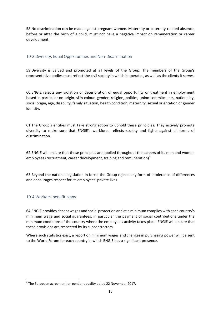58.No discrimination can be made against pregnant women. Maternity or paternity-related absence, before or after the birth of a child, must not have a negative impact on remuneration or career development.

## 10-3 Diversity, Equal Opportunities and Non-Discrimination

59.Diversity is valued and promoted at all levels of the Group. The members of the Group's representative bodies must reflect the civil society in which it operates, as well as the clients it serves.

60.ENGIE rejects any violation or deterioration of equal opportunity or treatment in employment based in particular on origin, skin colour, gender, religion, politics, union commitments, nationality, social origin, age, disability, family situation, health condition, maternity, sexual orientation or gender identity.

61.The Group's entities must take strong action to uphold these principles. They actively promote diversity to make sure that ENGIE's workforce reflects society and fights against all forms of discrimination.

62.ENGIE will ensure that these principles are applied throughout the careers of its men and women employees (recruitment, career development, training and remuneration)<sup>8</sup>

63.Beyond the national legislation in force, the Group rejects any form of intolerance of differences and encourages respect for its employees' private lives.

## 10-4 Workers' benefit plans

64.ENGIE provides decent wages and social protection and at a minimum complies with each country's minimum wage and social guarantees, in particular the payment of social contributions under the minimum conditions of the country where the employee's activity takes place. ENGIE will ensure that these provisions are respected by its subcontractors.

Where such statistics exist, a report on minimum wages and changes in purchasing power will be sent to the World Forum for each country in which ENGIE has a significant presence.

<sup>8</sup> The European agreement on gender equality dated 22 November 2017.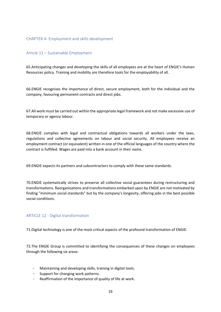### CHAPTER 4- Employment and skills development

## Article 11 – Sustainable Employment

65.Anticipating changes and developing the skills of all employees are at the heart of ENGIE's Human Resources policy. Training and mobility are therefore tools for the employability of all.

66.ENGIE recognises the importance of direct, secure employment, both for the individual and the company, favouring permanent contracts and direct jobs.

67.All work must be carried out within the appropriate legal framework and not make excessive use of temporary or agency labour.

68.ENGIE complies with legal and contractual obligations towards all workers under the laws, regulations and collective agreements on labour and social security. All employees receive an employment contract (or equivalent) written in one of the official languages of the country where the contract is fulfilled. Wages are paid into a bank account in their name.

69.ENGIE expects its partners and subcontractors to comply with these same standards.

70.ENGIE systematically strives to preserve all collective social guarantees during restructuring and transformations. Reorganisations and transformations embarked upon by ENGIE are not motivated by finding "minimum social standards" but by the company's longevity, offering jobs in the best possible social conditions.

## ARTICLE 12 - Digital transformation

71.Digital technology is one of the most critical aspects of the profound transformation of ENGIE.

72.The ENGIE Group is committed to identifying the consequences of these changes on employees through the following six areas:

- Maintaining and developing skills, training in digital tools.
- Support for changing work patterns.
- Reaffirmation of the importance of quality of life at work.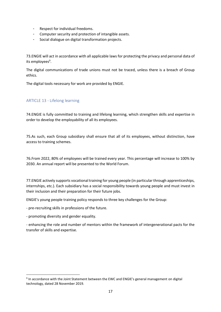- Respect for individual freedoms.
- Computer security and protection of intangible assets.
- Social dialogue on digital transformation projects.

73.ENGIE will act in accordance with all applicable laws for protecting the privacy and personal data of its employees<sup>9</sup>.

The digital communications of trade unions must not be traced, unless there is a breach of Group ethics.

The digital tools necessary for work are provided by ENGIE.

## ARTICLE 13 - Lifelong learning

74.ENGIE is fully committed to training and lifelong learning, which strengthen skills and expertise in order to develop the employability of all its employees.

75.As such, each Group subsidiary shall ensure that all of its employees, without distinction, have access to training schemes.

76.From 2022, 80% of employees will be trained every year. This percentage will increase to 100% by 2030. An annual report will be presented to the World Forum.

77.ENGIE actively supports vocational training for young people (in particular through apprenticeships, internships, etc.). Each subsidiary has a social responsibility towards young people and must invest in their inclusion and their preparation for their future jobs.

ENGIE's young people training policy responds to three key challenges for the Group:

- pre-recruiting skills in professions of the future.

- promoting diversity and gender equality.

- enhancing the role and number of mentors within the framework of intergenerational pacts for the transfer of skills and expertise.

<sup>&</sup>lt;sup>9</sup> In accordance with the Joint Statement between the EWC and ENGIE's general management on digital technology, dated 28 November 2019.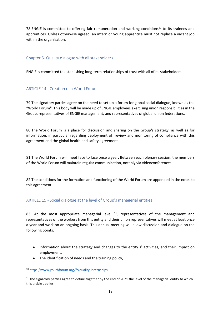78.ENGIE is committed to offering fair remuneration and working conditions<sup>10</sup> to its trainees and apprentices. Unless otherwise agreed, an intern or young apprentice must not replace a vacant job within the organisation.

## Chapter 5- Quality dialogue with all stakeholders

ENGIE is committed to establishing long-term relationships of trust with all of its stakeholders.

## ARTICLE 14 - Creation of a World Forum

79.The signatory parties agree on the need to set up a forum for global social dialogue, known as the "World Forum". This body will be made up of ENGIE employees exercising union responsibilities in the Group, representatives of ENGIE management, and representatives of global union federations.

80.The World Forum is a place for discussion and sharing on the Group's strategy, as well as for information, in particular regarding deployment of, review and monitoring of compliance with this agreement and the global health and safety agreement.

81.The World Forum will meet face to face once a year. Between each plenary session, the members of the World Forum will maintain regular communication, notably via videoconferences.

82.The conditions for the formation and functioning of the World Forum are appended in the notes to this agreement.

## ARTICLE 15 - Social dialogue at the level of Group's managerial entities

83. At the most appropriate managerial level  $11$ , representatives of the management and representatives of the workers from this entity and their union representatives will meet at least once a year and work on an ongoing basis. This annual meeting will allow discussion and dialogue on the following points:

- Information about the strategy and changes to the entity s' activities, and their impact on employment,
- The identification of needs and the training policy,

<sup>10</sup> <https://www.youthforum.org/fr/quality-internships>

 $11$  The signatory parties agree to define together by the end of 2021 the level of the managerial entity to which this article applies.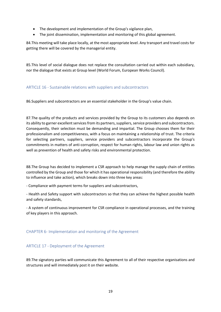- The development and implementation of the Group's vigilance plan,
- The joint dissemination, implementation and monitoring of this global agreement.

84.This meeting will take place locally, at the most appropriate level. Any transport and travel costs for getting there will be covered by the managerial entity.

85.This level of social dialogue does not replace the consultation carried out within each subsidiary, nor the dialogue that exists at Group level (World Forum, European Works Council).

## ARTICLE 16 - Sustainable relations with suppliers and subcontractors

86.Suppliers and subcontractors are an essential stakeholder in the Group's value chain.

87.The quality of the products and services provided by the Group to its customers also depends on its ability to garner excellent services from its partners, suppliers, service providers and subcontractors. Consequently, their selection must be demanding and impartial. The Group chooses them for their professionalism and competitiveness, with a focus on maintaining a relationship of trust. The criteria for selecting partners, suppliers, service providers and subcontractors incorporate the Group's commitments in matters of anti-corruption, respect for human rights, labour law and union rights as well as prevention of health and safety risks and environmental protection.

88.The Group has decided to implement a CSR approach to help manage the supply chain of entities controlled by the Group and those for which it has operational responsibility (and therefore the ability to influence and take action), which breaks down into three key areas:

- Compliance with payment terms for suppliers and subcontractors,

- Health and Safety support with subcontractors so that they can achieve the highest possible health and safety standards,

- A system of continuous improvement for CSR compliance in operational processes, and the training of key players in this approach.

## CHAPTER 6- Implementation and monitoring of the Agreement

## ARTICLE 17 - Deployment of the Agreement

89.The signatory parties will communicate this Agreement to all of their respective organisations and structures and will immediately post it on their website.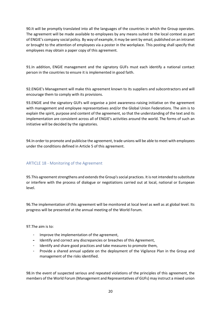90.It will be promptly translated into all the languages of the countries in which the Group operates. The agreement will be made available to employees by any means suited to the local context as part of ENGIE's company social policy. By way of example, it may be sent by email, published on an intranet or brought to the attention of employees via a poster in the workplace. This posting shall specify that employees may obtain a paper copy of this agreement.

91.In addition, ENGIE management and the signatory GUFs must each identify a national contact person in the countries to ensure it is implemented in good faith.

92.ENGIE's Management will make this agreement known to its suppliers and subcontractors and will encourage them to comply with its provisions.

93.ENGIE and the signatory GUFs will organise a joint awareness-raising initiative on the agreement with management and employee representatives and/or the Global Union Federations. The aim is to explain the spirit, purpose and content of the agreement, so that the understanding of the text and its implementation are consistent across all of ENGIE's activities around the world. The forms of such an initiative will be decided by the signatories.

94.In order to promote and publicise the agreement, trade unions will be able to meet with employees under the conditions defined in Article 5 of this agreement.

## ARTICLE 18 - Monitoring of the Agreement

95.This agreement strengthens and extends the Group's social practices. It is not intended to substitute or interfere with the process of dialogue or negotiations carried out at local, national or European level.

96.The implementation of this agreement will be monitored at local level as well as at global level. Its progress will be presented at the annual meeting of the World Forum.

97.The aim is to:

- Improve the implementation of the agreement,
- Identify and correct any discrepancies or breaches of this Agreement,
- Identify and share good practices and take measures to promote them,
- Provide a shared annual update on the deployment of the Vigilance Plan in the Group and management of the risks identified.

98.In the event of suspected serious and repeated violations of the principles of this agreement, the members of the World Forum (Management and Representatives of GUFs) may instruct a mixed union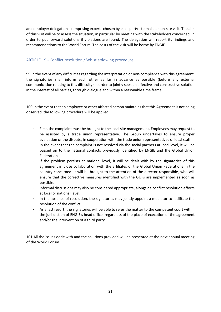and employer delegation - comprising experts chosen by each party - to make an on-site visit. The aim of this visit will be to assess the situation, in particular by meeting with the stakeholders concerned, in order to put forward solutions if violations are found. The delegation will report its findings and recommendations to the World Forum. The costs of the visit will be borne by ENGIE.

## ARTICLE 19 - Conflict resolution / Whistleblowing procedure

99.In the event of any difficulties regarding the interpretation or non-compliance with this agreement, the signatories shall inform each other as far in advance as possible (before any external communication relating to this difficulty) in order to jointly seek an effective and constructive solution in the interest of all parties, through dialogue and within a reasonable time frame.

100.In the event that an employee or other affected person maintains that this Agreement is not being observed, the following procedure will be applied:

- First, the complaint must be brought to the local site management. Employees may request to be assisted by a trade union representative. The Group undertakes to ensure proper evaluation of the dispute, in cooperation with the trade union representatives of local staff.
- In the event that the complaint is not resolved via the social partners at local level, it will be passed on to the national contacts previously identified by ENGIE and the Global Union Federations.
- If the problem persists at national level, it will be dealt with by the signatories of this agreement in close collaboration with the affiliates of the Global Union Federations in the country concerned. It will be brought to the attention of the director responsible, who will ensure that the corrective measures identified with the GUFs are implemented as soon as possible.
- Informal discussions may also be considered appropriate, alongside conflict resolution efforts at local or national level.
- In the absence of resolution, the signatories may jointly appoint a mediator to facilitate the resolution of the conflict.
- As a last resort, the signatories will be able to refer the matter to the competent court within the jurisdiction of ENGIE's head office, regardless of the place of execution of the agreement and/or the intervention of a third party.

101.All the issues dealt with and the solutions provided will be presented at the next annual meeting of the World Forum.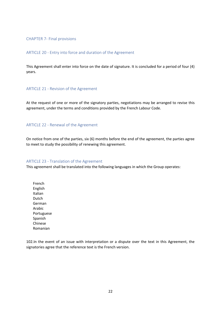#### CHAPTER 7- Final provisions

#### ARTICLE 20 - Entry into force and duration of the Agreement

This Agreement shall enter into force on the date of signature. It is concluded for a period of four (4) years.

#### ARTICLE 21 - Revision of the Agreement

At the request of one or more of the signatory parties, negotiations may be arranged to revise this agreement, under the terms and conditions provided by the French Labour Code.

#### ARTICLE 22 - Renewal of the Agreement

On notice from one of the parties, six (6) months before the end of the agreement, the parties agree to meet to study the possibility of renewing this agreement.

#### ARTICLE 23 - Translation of the Agreement

This agreement shall be translated into the following languages in which the Group operates:

French English Italian Dutch German Arabic Portuguese Spanish Chinese Romanian

102.In the event of an issue with interpretation or a dispute over the text in this Agreement, the signatories agree that the reference text is the French version.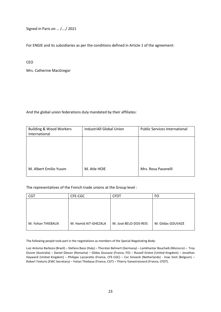Signed in Paris on … /…./ 2021

For ENGIE and its subsidiaries as per the conditions defined in Article 1 of the agreement:

CEO

Mrs. Catherine MacGregor

And the global union federations duly mandated by their affiliates:

| <b>Building &amp; Wood Workers</b><br>International | IndustriAll Global Union | <b>Public Services International</b> |
|-----------------------------------------------------|--------------------------|--------------------------------------|
|                                                     |                          |                                      |
|                                                     |                          |                                      |
|                                                     |                          |                                      |
| M. Albert Emilio Yuson                              | M. Atle HOIE             | Mrs. Rosa Pavanelli                  |

The representatives of the French trade unions at the Group level :

| CG1               | CFE-CGC              | CFDT                  | FO                |
|-------------------|----------------------|-----------------------|-------------------|
|                   |                      |                       |                   |
|                   |                      |                       |                   |
|                   |                      |                       |                   |
|                   |                      |                       |                   |
| M. Yohan THIEBAUX | M. Hamid AIT-GHEZALA | M. José BELO-DOS-REIS | M. Gildas GOUVAZE |
|                   |                      |                       |                   |

The following people took part in the negotiations as members of the Special Negotiating Body:

Luiz Antonio Barboza (Brazil) – Stefano Bassi (Italy) – Thorsten Behnert (Germany) – Lamkhantar Bouchaib (Morocco) – Troy Dunne (Australia) – Daniel Glevan (Romania) – Gildas Gouvaze (France, FO) – Russell Grieve (United Kingdom) – Jonathan Hayward (United Kingdom) – Philippe Lazzarotto (France, CFE-CGC) – Cor Smeenk (Netherlands) - Inias Smit (Belgium) – Robert Textoris (EWC Secretary) – Yohan Thiebaux (France, CGT) – Thierry Vanestrenvord (France, CFDT).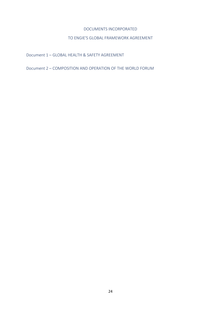### DOCUMENTS INCORPORATED

## TO ENGIE'S GLOBAL FRAMEWORK AGREEMENT

Document 1 – GLOBAL HEALTH & SAFETY AGREEMENT

Document 2 – COMPOSITION AND OPERATION OF THE WORLD FORUM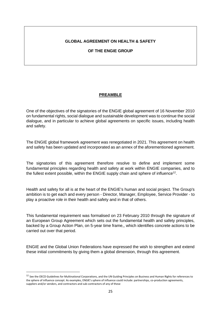## **GLOBAL AGREEMENT ON HEALTH & SAFETY**

## **OF THE ENGIE GROUP**

## **PREAMBLE**

One of the objectives of the signatories of the ENGIE global agreement of 16 November 2010 on fundamental rights, social dialogue and sustainable development was to continue the social dialogue, and in particular to achieve global agreements on specific issues, including health and safety.

The ENGIE global framework agreement was renegotiated in 2021. This agreement on health and safety has been updated and incorporated as an annex of the aforementioned agreement.

The signatories of this agreement therefore resolve to define and implement some fundamental principles regarding health and safety at work within ENGIE companies, and to the fullest extent possible, within the ENGIE supply chain and sphere of influence<sup>12</sup>.

Health and safety for all is at the heart of the ENGIE's human and social project. The Group's ambition is to get each and every person - Director, Manager, Employee, Service Provider - to play a proactive role in their health and safety and in that of others.

This fundamental requirement was formalised on 23 February 2010 through the signature of an European Group Agreement which sets out the fundamental health and safety principles, backed by a Group Action Plan, on 5-year time frame,, which identifies concrete actions to be carried out over that period.

ENGIE and the Global Union Federations have expressed the wish to strengthen and extend these initial commitments by giving them a global dimension, through this agreement.

<sup>&</sup>lt;sup>12</sup> See the OECD Guidelines for Multinational Corporations, and the UN Guiding Principles on Business and Human Rights for references to the sphere of influence concept. As examples, ENGIE's sphere of influence could include: partnerships, co-production agreements, suppliers and/or vendors, and contractors and sub-contractors of any of these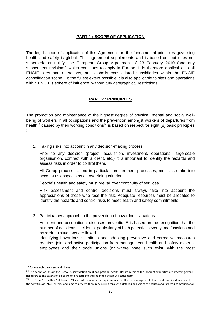# **PART 1 : SCOPE OF APPLICATION**

The legal scope of application of this Agreement on the fundamental principles governing health and safety is global. This agreement supplements and is based on, but does not supersede or nullify, the European Group Agreement of 23 February 2010 (and any subsequent revisions) which continues to apply in Europe. It is therefore applicable to all ENGIE sites and operations, and globally consolidated subsidiaries within the ENGIE consolidation scope. To the fullest extent possible it is also applicable to sites and operations within ENGIE's sphere of influence, without any geographical restrictions.

## **PART 2 : PRINCIPLES**

The promotion and maintenance of the highest degree of physical, mental and social wellbeing of workers in all occupations and the prevention amongst workers of departures from health<sup>13</sup> caused by their working conditions<sup>14</sup> is based on respect for eight (8) basic principles :

1. Taking risks into account in any decision-making process

Prior to any decision (project, acquisition, investment, operations, large-scale organisation, contract with a client, etc.) it is important to identify the hazards and assess risks in order to control them.

All Group processes, and in particular procurement processes, must also take into account risk aspects as an overriding criterion.

People's health and safety must prevail over continuity of services.

Risk assessment and control decisions must always take into account the appreciations of those who face the risk. Adequate resources must be allocated to identify the hazards and control risks to meet health and safety commitments.

2. Participatory approach to the prevention of hazardous situations

Accident and occupational diseases prevention<sup>15</sup> is based on the recognition that the number of accidents, incidents, particularly of high potential severity, malfunctions and hazardous situations are linked.

Identifying hazardous situations and adopting preventive and corrective measures requires joint and active participation from management, health and safety experts, employees and their trade unions (or where none such exist, with the most

<sup>&</sup>lt;sup>13</sup> For example : accident and illness

 $14$  The definition is from the ILO/WHO joint definition of occupational health. Hazard refers to the inherent properties of something, while risk refers to the extent of exposure to a hazard and the likelihood that it will cause harm

<sup>&</sup>lt;sup>15</sup> The Group's Health & Safety rule n°3 lays out the minimum requirements for effective management of accidents and incidents linked to the activities of ENGIE entities and aims to prevent them reoccurring through a detailed analysis of the causes and targeted communication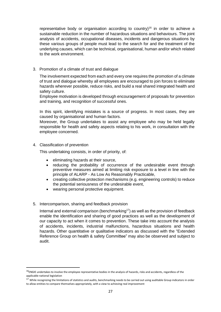representative body or organisation according to country)<sup>16</sup> in order to achieve a sustainable reduction in the number of hazardous situations and behaviours. The joint analysis of accidents, occupational diseases, incidents and dangerous situations by these various groups of people must lead to the search for and the treatment of the underlying causes, which can be technical, organisational, human and/or which related to the work environment.

3. Promotion of a climate of trust and dialogue

The involvement expected from each and every one requires the promotion of a climate of trust and dialogue whereby all employees are encouraged to join forces to eliminate hazards wherever possible, reduce risks, and build a real shared integrated health and safety culture.

Employee motivation is developed through encouragement of proposals for prevention and training, and recognition of successful ones.

In this spirit, identifying mistakes is a source of progress. In most cases, they are caused by organisational and human factors.

Moreover, the Group undertakes to assist any employee who may be held legally responsible for health and safety aspects relating to his work, in consultation with the employee concerned.

4. Classification of prevention

This undertaking consists, in order of priority, of:

- eliminating hazards at their source,
- reducing the probability of occurrence of the undesirable event through preventive measures aimed at limiting risk exposure to a level in line with the principle of ALARP - As Low As Reasonably Practicable,
- creating collective protection mechanisms (e.g. engineering controls) to reduce the potential seriousness of the undesirable event,
- wearing personal protective equipment.
- 5. Intercomparison, sharing and feedback provision

Internal and external comparison (benchmarking<sup>17</sup>) as well as the provision of feedback enable the identification and sharing of good practices as well as the development of our capacity to act when it comes to prevention. These take into account the analysis of accidents, incidents, industrial malfunctions, hazardous situations and health hazards. Other quantitative or qualitative indicators as discussed with the "Extended Reference Group on health & safety Committee" may also be observed and subject to audit.

 $^{16}$ ENGIE undertakes to involve the employee representative bodies in the analysis of hazards, risks and accidents, regardless of the applicable national legislation

<sup>&</sup>lt;sup>17</sup> While recognizing the limitations of statistics and audits, benchmarking needs to be carried out using auditable Group indicators in order to allow entities to compare themselves appropriately, with a view to achieving real improvement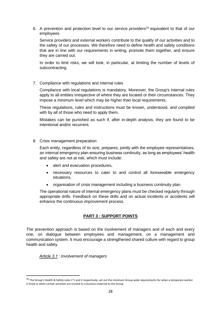6. A prevention and protection level to our service providers<sup>18</sup> equivalent to that of our employees

Service providers and external workers contribute to the quality of our activities and to the safety of our processes. We therefore need to define health and safety conditions that are in line with our requirements in writing, promote them together, and ensure they are carried out.

In order to limit risks, we will look, in particular, at limiting the number of levels of subcontracting.

## 7. Compliance with regulations and internal rules

Compliance with local regulations is mandatory. Moreover, the Group's internal rules apply to all entities irrespective of where they are located or their circumstances. They impose a minimum level which may be higher than local requirements.

These regulations, rules and instructions must be known, understood, and complied with by all of those who need to apply them.

Mistakes can be punished as such if, after in-depth analysis, they are found to be intentional and/or recurrent.

## 8. Crisis management preparation

Each entity, regardless of its size, prepares, jointly with the employee representatives, an internal emergency plan ensuring business continuity, as long as employees' health and safety are not at risk, which must include:

- alert and evacuation procedures,
- necessary resources to cater to and control all foreseeable emergency situations,
- organisation of crisis management including a business continuity plan.

The operational nature of internal emergency plans must be checked regularly through appropriate drills. Feedback on these drills and on actual incidents or accidents will enhance the continuous improvement process.

## **PART 3 : SUPPORT POINTS**

The prevention approach is based on the involvement of managers and of each and every one, on dialogue between employees and management, on a management and communication system. It must encourage a strengthened shared culture with regard to group health and safety.

*Article 3.1 : Involvement of managers*

<sup>&</sup>lt;sup>18</sup> The Group's Health & Safety rules n°1 and 2 respectively, set out the minimum Group-wide requirements for when a temporary worker is hired or when certain activities are trusted to a business external to the Group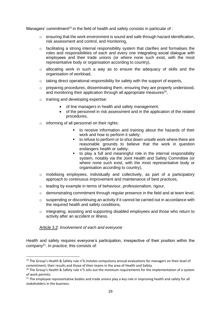Managers' commitment<sup>19</sup> in the field of health and safety consists in particular of :

- $\circ$  ensuring that the work environment is sound and safe through hazard identification, risk assessment and control, and monitoring,
- $\circ$  facilitating a strong internal responsibility system that clarifies and formalises the roles and responsibilities of each and every one integrating social dialogue with employees and their trade unions (or where none such exist, with the most representative body or organisation according to country),
- $\circ$  allocating work in such a way as to ensure the adequacy of skills and the organisation of workload,
- $\circ$  taking direct operational responsibility for safety with the support of experts,
- o preparing procedures, disseminating them, ensuring they are properly understood, and monitoring their application through all appropriate measures $^{20}$ ,
- o training and developing expertise:
	- of line managers in health and safety management,
	- of the personnel in risk assessment and in the application of the related procedures,
- o informing of all personnel on their rights:
	- to receive information and training about the hazards of their work and how to perform it safely;
	- to refuse to perform or to shut down unsafe work where there are reasonable grounds to believe that the work in question endangers health or safety;
	- to play a full and meaningful role in the internal responsibility system, notably via the Joint Health and Safety Committee (or where none such exist, with the most representative body or organisation according to country),
- o mobilising employees, individually and collectively, as part of a participatory approach to continuous improvement and maintenance of best practices,
- o leading by example in terms of behaviour, professionalism, rigour,
- o demonstrating commitment through regular presence in the field and at team level,
- o suspending or discontinuing an activity if it cannot be carried out in accordance with the required health and safety conditions,
- o Integrating, assisting and supporting disabled employees and those who return to activity after an accident or illness.

*Article 3.2*: *Involvement of each and everyone* 

Health and safety requires everyone's participation, irrespective of their position within the company<sup>21</sup>. In practice, this consists of:

<sup>&</sup>lt;sup>19</sup> The Group's Health & Safety rule n°6 instates compulsory annual evaluations for managers on their level of commitment, their results and those of their teams in the area of Health and Safety

<sup>&</sup>lt;sup>20</sup> The Group's Health & Safety rule n°5 sets out the minimum requirements for the implementation of a system of work permits.

<sup>&</sup>lt;sup>21</sup> The employee representative bodies and trade unions play a key role in improving health and safety for all stakeholders in the business.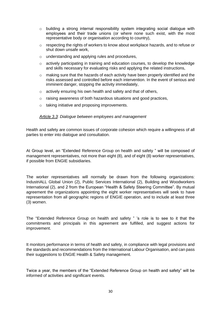- o building a strong internal responsibility system integrating social dialogue with employees and their trade unions (or where none such exist, with the most representative body or organisation according to country),
- o respecting the rights of workers to know about workplace hazards, and to refuse or shut down unsafe work,
- o understanding and applying rules and procedures,
- $\circ$  actively participating in training and education courses, to develop the knowledge and skills necessary for evaluating risks and applying the related instructions,
- o making sure that the hazards of each activity have been properly identified and the risks assessed and controlled before each intervention. In the event of serious and imminent danger, stopping the activity immediately,
- o actively ensuring his own health and safety and that of others,
- o raising awareness of both hazardous situations and good practices,
- o taking initiative and proposing improvements.

### *Article 3.3*: *Dialogue between employees and management*

Health and safety are common issues of corporate cohesion which require a willingness of all parties to enter into dialogue and consultation.

At Group level, an "Extended Reference Group on health and safety " will be composed of management representatives, not more than eight (8), and of eight (8) worker representatives, if possible from ENGIE subsidiaries.

The worker representatives will normally be drawn from the following organizations: IndustriALL Global Union (2), Public Services International (2), Building and Woodworkers International (2), and 2 from the European "Health & Safety Steering Committee". By mutual agreement the organizations appointing the eight worker representatives will seek to have representation from all geographic regions of ENGIE operation, and to include at least three (3) women.

The "Extended Reference Group on health and safety " 's role is to see to it that the commitments and principals in this agreement are fulfilled, and suggest actions for improvement.

It monitors performance in terms of health and safety, in compliance with legal provisions and the standards and recommendations from the International Labour Organisation, and can pass their suggestions to ENGIE Health & Safety management.

Twice a year, the members of the "Extended Reference Group on health and safety" will be informed of activities and significant events.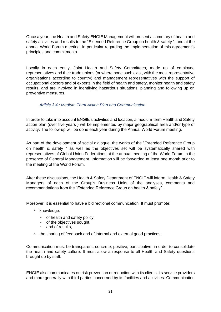Once a year, the Health and Safety ENGIE Management will present a summary of health and safety activities and results to the "Extended Reference Group on health & safety ", and at the annual World Forum meeting, in particular regarding the implementation of this agreement's principles and commitments.

Locally in each entity, Joint Health and Safety Committees, made up of employee representatives and their trade unions (or where none such exist, with the most representative organisations according to country) and management representatives with the support of occupational doctors and of experts in the field of health and safety, monitor health and safety results, and are involved in identifying hazardous situations, planning and following up on preventive measures.

## *Article 3.4 : Medium Term Action Plan and Communication*

In order to take into account ENGIE's activities and location, a medium-term Health and Safety action plan (over five years ) will be implemented by major geographical area and/or type of activity. The follow-up will be done each year during the Annual World Forum meeting.

As part of the development of social dialogue, the works of the "Extended Reference Group on health & safety " as well as the objectives set will be systematically shared with representatives of Global Union Federations at the annual meeting of the World Forum in the presence of General Management. Information will be forwarded at least one month prior to the meeting of the World Forum.

After these discussions, the Health & Safety Department of ENGIE will inform Health & Safety Managers of each of the Group's Business Units of the analyses, comments and recommendations from the "Extended Reference Group on health & safely" .

Moreover, it is essential to have a bidirectional communication. It must promote:

- $A$  knowledge:
	- of health and safety policy,
	- of the objectives sought,
	- and of results,
- $\uparrow$  the sharing of feedback and of internal and external good practices.

Communication must be transparent, concrete, positive, participative, in order to consolidate the health and safety culture. It must allow a response to all Health and Safety questions brought up by staff.

ENGIE also communicates on risk prevention or reduction with its clients, its service providers and more generally with third parties concerned by its facilities and activities. Communication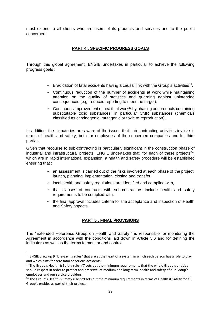must extend to all clients who are users of its products and services and to the public concerned.

# **PART 4 : SPECIFIC PROGRESS GOALS**

Through this global agreement, ENGIE undertakes in particular to achieve the following progress goals :

- $\blacktriangle$  Eradication of fatal accidents having a causal link with the Group's activities<sup>22</sup>.
- $\triangle$  Continuous reduction of the number of accidents at work while maintaining attention on the quality of statistics and guarding against unintended consequences (e.g. reduced reporting to meet the target).
- $\triangle$  Continuous improvement of health at work<sup>23</sup> by phasing out products containing substitutable toxic substances, in particular CMR substances (chemicals classified as carcinogenic, mutagenic or toxic to reproduction).

In addition, the signatories are aware of the issues that sub-contracting activities involve in terms of health and safety, both for employees of the concerned companies and for third parties.

Given that recourse to sub-contracting is particularly significant in the construction phase of industrial and infrastructural projects,  $ENGIE$  undertakes that, for each of these projects<sup>24</sup>, which are in rapid international expansion, a health and safety procedure will be established ensuring that :

- $\triangle$  an assessment is carried out of the risks involved at each phase of the project: launch, planning, implementation, closing and transfer,
- $\triangle$  local health and safety regulations are identified and complied with,
- $\uparrow$  that clauses of contracts with sub-contractors include health and safety requirements to be complied with,
- $\uparrow$  the final approval includes criteria for the acceptance and inspection of Health and Safety aspects.

# **PART 5 : FINAL PROVISIONS**

The "Extended Reference Group on Health and Safety " is responsible for monitoring the Agreement in accordance with the conditions laid down in Article 3.3 and for defining the indicators as well as the terms to monitor and control.

 $22$  ENGIE drew up 9 "Life-saving rules" that are at the heart of a system in which each person has a role to play and which aims for zero fatal or serious accidents.

<sup>&</sup>lt;sup>23</sup> The Group's Health & Safety rule n°7 sets out the minimum requirements that the whole Group's entities should respect in order to protect and preserve, at medium and long term, health and safety of our Group's employees and our service providers

<sup>&</sup>lt;sup>24</sup> The Group's Health & Safety rule n°9 sets out the minimum requirements in terms of Health & Safety for all Group's entities as part of their projects.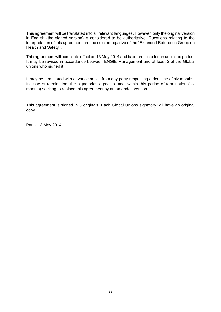This agreement will be translated into all relevant languages. However, only the original version in English (the signed version) is considered to be authoritative. Questions relating to the interpretation of this agreement are the sole prerogative of the "Extended Reference Group on Health and Safety ".

This agreement will come into effect on 13 May 2014 and is entered into for an unlimited period. It may be revised in accordance between ENGIE Management and at least 2 of the Global unions who signed it.

It may be terminated with advance notice from any party respecting a deadline of six months. In case of termination, the signatories agree to meet within this period of termination (six months) seeking to replace this agreement by an amended version.

This agreement is signed in 5 originals. Each Global Unions signatory will have an original copy.

Paris, 13 May 2014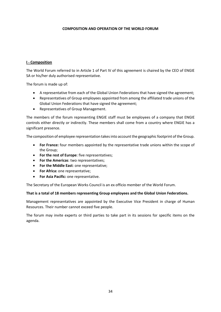### **COMPOSITION AND OPERATION OF THE WORLD FORUM**

### **I - Composition**

The World Forum referred to in Article 1 of Part IV of this agreement is chaired by the CEO of ENGIE SA or his/her duly authorised representative.

The forum is made up of:

- A representative from each of the Global Union Federations that have signed the agreement;
- Representatives of Group employees appointed from among the affiliated trade unions of the Global Union Federations that have signed the agreement;
- Representatives of Group Management.

The members of the forum representing ENGIE staff must be employees of a company that ENGIE controls either directly or indirectly. These members shall come from a country where ENGIE has a significant presence.

The composition of employee representation takes into account the geographic footprint of the Group.

- **For France:** four members appointed by the representative trade unions within the scope of the Group;
- **For the rest of Europe**: five representatives;
- **For the Americas**: two representatives;
- **For the Middle East**: one representative;
- **For Africa:** one representative;
- **For Asia Pacific:** one representative.

The Secretary of the European Works Council is an ex officio member of the World Forum.

#### **That is a total of 18 members representing Group employees and the Global Union Federations.**

Management representatives are appointed by the Executive Vice President in charge of Human Resources. Their number cannot exceed five people.

The forum may invite experts or third parties to take part in its sessions for specific items on the agenda.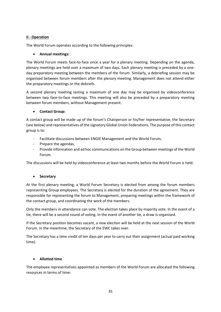## **II - Operation**

The World Forum operates according to the following principles:

## • **Annual meetings:**

The World Forum meets face-to-face once a year for a plenary meeting. Depending on the agenda, plenary meetings are held over a maximum of two days. Each plenary meeting is preceded by a oneday preparatory meeting between the members of the forum. Similarly, a debriefing session may be organised between forum members after the plenary meeting. Management does not attend either the preparatory meetings or the debriefs.

A second plenary meeting lasting a maximum of one day may be organised by videoconference between two face-to-face meetings. This meeting will also be preceded by a preparatory meeting between forum members, without Management present.

## • **Contact Group:**

A contact group will be made up of the forum's Chairperson or his/her representative, the Secretary (see below) and representatives of the signatory Global Union Federations. The purpose of this contact group is to:

- Facilitate discussions between ENGIE Management and the World Forum,
- Prepare the agendas,
- Provide information and ad hoc communications on the Group between meetings of the World Forum.

The discussions will be held by videoconference at least two months before the World Forum is held.

## • **Secretary**

At the first plenary meeting, a World Forum Secretary is elected from among the forum members representing Group employees. The Secretary is elected for the duration of the agreement. They are responsible for representing the forum to Management, preparing meetings within the framework of the contact group, and coordinating the work of the members.

Only the members in attendance can vote. The election takes place by majority vote. In the event of a tie, there will be a second round of voting. In the event of another tie, a draw is organised.

If the Secretary position becomes vacant, a new election will be held at the next session of the World Forum. In the meantime, the Secretary of the EWC takes over.

The Secretary has a time credit of ten days per year to carry out their assignment (actual paid working time).

## • **Allotted time**

The employee representatives appointed as members of the World Forum are allocated the following resources in terms of time: